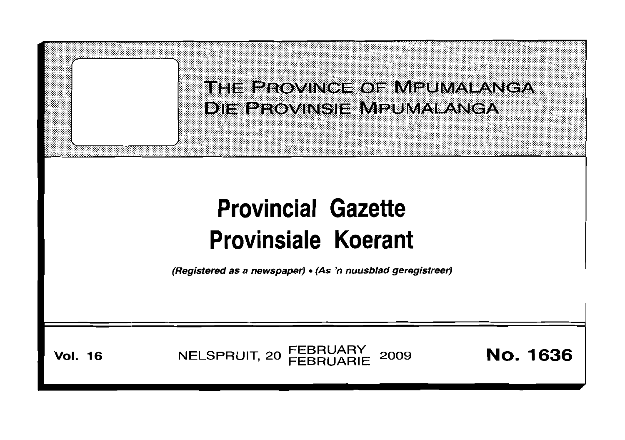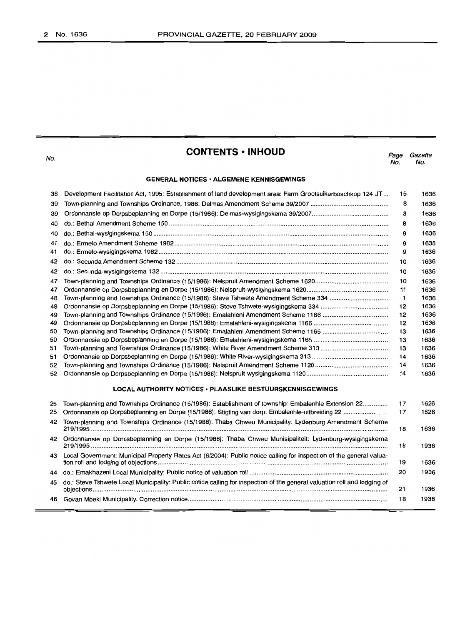No.

# **CONTENTS -INHOUD**

*Page Gazette* No. No.

# **GENERAL NOTICES· ALGEMENE KENNISGEWINGS**

| 38 | Development Facilitation Act, 1995: Establishment of land development area: Farm Grootsuikerboschkop 124 JT              | 15           | 1636 |
|----|--------------------------------------------------------------------------------------------------------------------------|--------------|------|
| 39 |                                                                                                                          | 8            | 1636 |
| 39 |                                                                                                                          | 8            | 1636 |
| 40 |                                                                                                                          | 8            | 1636 |
| 40 |                                                                                                                          | 9            | 1636 |
| 41 |                                                                                                                          | 9            | 1636 |
| 41 |                                                                                                                          | 9            | 1636 |
| 42 |                                                                                                                          | 10           | 1636 |
| 42 |                                                                                                                          | 10           | 1636 |
| 47 |                                                                                                                          | 10           | 1636 |
| 47 |                                                                                                                          | 11           | 1636 |
| 48 | Town-planning and Townships Ordinance (15/1986): Steve Tshwete Amendment Scheme 334                                      | $\mathbf{1}$ | 1636 |
| 48 |                                                                                                                          | 12           | 1636 |
| 49 |                                                                                                                          | 12           | 1636 |
| 49 |                                                                                                                          | 12           | 1636 |
| 50 |                                                                                                                          | 13           | 1636 |
| 50 |                                                                                                                          | 13           | 1636 |
| 51 |                                                                                                                          | 13           | 1636 |
| 51 |                                                                                                                          | 14           | 1636 |
| 52 |                                                                                                                          | 14           | 1636 |
| 52 |                                                                                                                          | 14           | 1636 |
|    | <b>LOCAL AUTHORITY NOTICES · PLAASLIKE BESTUURSKENNISGEWINGS</b>                                                         |              |      |
| 25 | Town-planning and Townships Ordinance (15/1986): Establishment of township: Embalenhie Extension 22                      | 17           | 1626 |
| 25 | Ordonnansie op Dorpsbeplanning en Dorpe (15/1986): Stigting van dorp: Embalenhle-uitbreiding 22                          | 17           | 1626 |
| 42 | Town-planning and Townships Ordinance (15/1986): Thaba Chweu Municipality: Lydenburg Amendment Scheme                    | 18           | 1636 |
|    | 42 Ordonnansie op Dorpsbeplanning en Dorpe (15/1986): Thaba Chweu Munisipaliteit: Lydenburg-wysigingskema                | 18           | 1936 |
| 43 | Local Government: Municipal Property Rates Act (6/2004): Public notice calling for inspection of the general valua-      | 19           | 1636 |
| 44 |                                                                                                                          | 20           | 1936 |
| 45 | do.: Steve Tshwete Local Municipality: Public notice calling for inspection of the general valuation roll and lodging of | 21           | 1936 |
|    |                                                                                                                          | 18           | 1936 |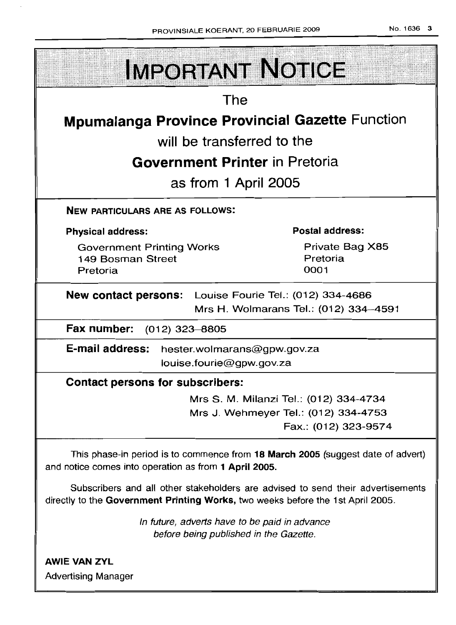

Advertising Manager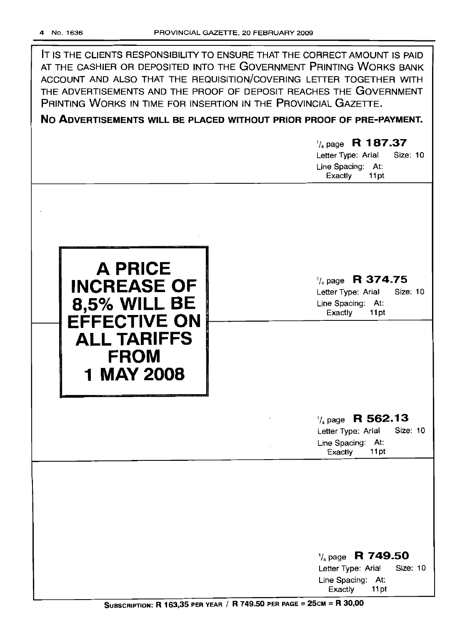IT IS THE CLIENTS RESPONSIBILITY TO ENSURE THAT THE CORRECT AMOUNT IS PAID AT THE CASHIER OR DEPOSITED INTO THE GOVERNMENT PRINTING WORKS BANK ACCOUNT AND ALSO THAT THE REQUISITION/COVERING LETTER TOGETHER WITH THE ADVERTISEMENTS AND THE PROOF OF DEPOSIT REACHES THE GOVERNMENT PRINTING WORKS IN TIME FOR INSERTION IN THE PROVINCIAL GAZETTE.

# **No ADVERTISEMENTS WILL BE PLACED WITHOUT PRIOR PROOF OF PRE-PAYMENT.**

1/4 page R **1 87.37** Letter Type: Arial Size: 10 Line Spacing: At: Exactly 11pt



1/4page **R 374.75**

Letter Type: Arial Size: 10 Line Spacing: At: Exactly 11 pt

# <sup>1</sup>/<sub>4</sub> page **R 562.13**<br>Letter Type: Arial Size: 10

Letter Type: Arial Line Spacing: At: Exactly 11pt

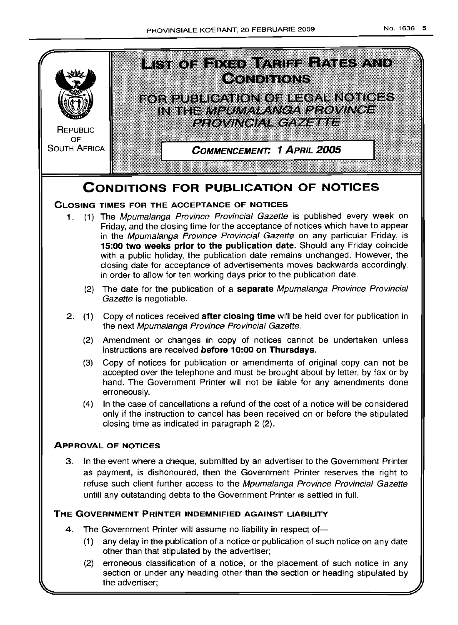

(2) erroneous classification of a notice, or the placement of such notice in any section or under any heading other than the section or heading stipulated by the advertiser;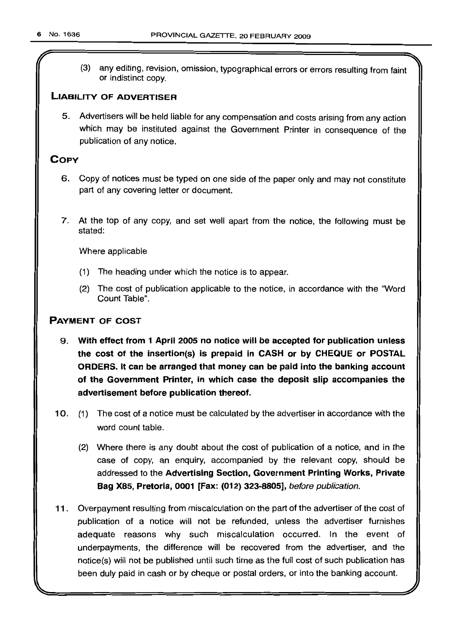r

(3) any editing, revision, omission, typographical errors or errors resulting from faint or indistinct copy.

# **LIABILITY OF ADVERTISER**

5. Advertisers will be held liable for any compensation and costs arising from any action which may be instituted against the Government Printer in consequence of the publication of any notice.

# **COpy**

- 6. Copy of notices must be typed on one side of the paper only and may not constitute part of any covering letter or document.
- 7. At the top of any copy, and set well apart from the notice, the following must be stated:

Where applicable

- (1) The heading under which the notice is to appear.
- (2) The cost of publication applicable to the notice, in accordance with the "Word Count Table".

# **PAYMENT OF COST**

- 9. **With effect from 1 April 2005 no notice will be accepted for publication unless the cost of the insertion(s) is prepaid in CASH or by CHEQUE or POSTAL ORDERS. It can be arranged that money can be paid into the banking account of the Government Printer, in which case the deposit slip accompanies the advertisement before publication thereof.**
- 10. (1) The cost of a notice must be calculated by the advertiser in accordance with the word count table.
	- (2) Where there is any doubt about the cost of publication of a notice, and in the case of copy, an enquiry, accompanied by the relevant copy, should be addressed to the **Advertising Section, Government Printing Works, Private Bag X85, Pretoria, 0001 [Fax: (012) 323-8805],** before publication.
- **11** . Overpayment resulting from miscalculation on the part of the advertiser of the cost of publication of a notice will not be refunded, unless the advertiser furnishes adequate reasons why such miscalculation occurred. In the event of underpayments, the difference will be recovered from the advertiser, and the notice(s) will not be published until such time as the full cost of such publication has been duly paid in cash or by cheque or postal orders, or into the banking account.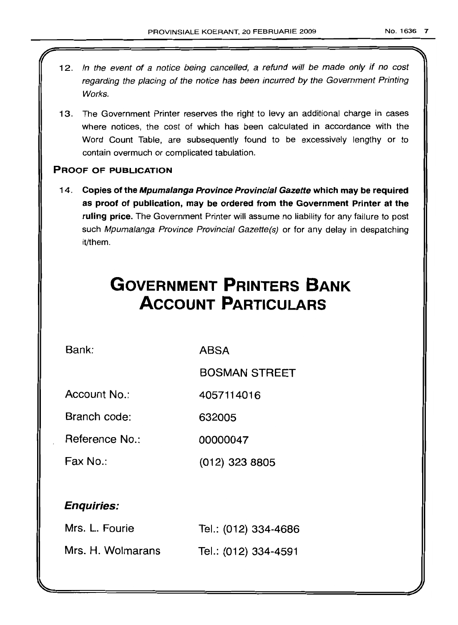- 12. In the event of a notice being cancelled, a refund will be made only if no cost regarding the placing of the notice has been incurred by the Government Printing Works.
- 13. The Government Printer reserves the right to levy an additional charge in cases where notices, the cost of which has been calculated in accordance with the Word Count Table, are subsequently found to be excessively lengthy or to contain overmuch or complicated tabulation.

# PROOF OF PUBLICATION

14. Copies of the Mpumalanga Province Provincial Gazette which may be required as proof of publication, may be ordered from the Government Printer at the ruling price. The Government Printer will assume no liability for any failure to post such Mpumalanga Province Provincial Gazette(s) or for any delay in despatching lit/them.

# **GOVERNMENT PRINTERS BANK ACCOUNT PARTICULARS**

Bank: ABSA

BOSMAN STREET

Account No.: 4057114016

Branch code: 632005

Reference No.: 00000047

Fax No.: (012) 323 8805

# Enquiries:

| Mrs. L. Fourie    | Tel.: (012) 334-4686 |
|-------------------|----------------------|
| Mrs. H. Wolmarans | Tel.: (012) 334-4591 |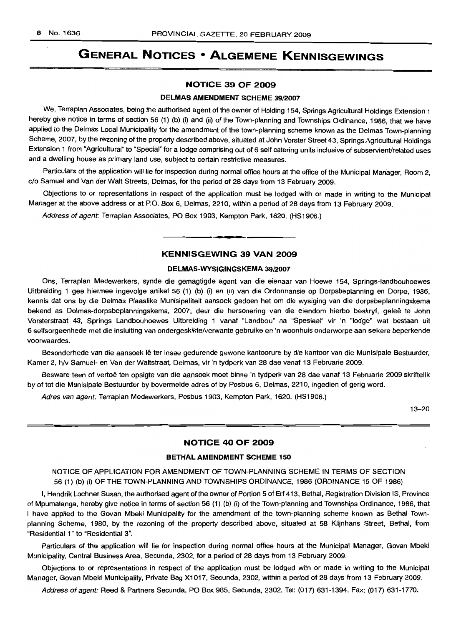# **GENERAL NOTICES • ALGEMENE KENNISGEWINGS**

# **NO"nCE 39 OF 2009**

# **DELMAS AMENDMENT SCHEME** 39/2007

We, Terraplan Associates, being the authorised agent of the owner of Holding 154, Springs Agricultural Holdings Extension 1 hereby give notice in terms of section 56 (1) (b) (i) and (ii) of the Town-planning and Townships Ordinance, 1986, that we have applied to the Delmas Local Municipality for the amendment of the town-planning scheme known as the Delmas Town-planning Scheme, 2007, by the rezoning of the property described above, situated at John Vorster Street 43, Springs Agricultural Holdings Extension 1 from "Agricultural" to "Special" for a lodge comprising out of 6 self catering units inclusive of subservient/related uses and a dwelling house as primary land use, subject to certain restrictive measures.

Particulars of the application will lie for inspection during normal office hours at the office of the Municipal Manager, Room 2, c/o Samuel and Van der Walt Streets, Delmas, for the period of 28 days from 13 February 2009.

Objections to or representations in respect of the application must be lodged with or made in writing to the Municipal Manager at the above address or at P.O. Box 6, Delmas, 2210, within a period of 28 days from 13 February 2009.

Address of agent: Terraplan Associates, PO Box 1903, Kempton Park, 1620. (HS1906.)

#### **KENNISGEWING 39 VAN 2009**

.**- .**

#### **DELMAS-WYSIGINGSKEMA** 39/2007

Ons, Terraplan Medewerkers, synde die gemagtigde agent van die eienaar van Hoewe 154, Springs-Iandbouhoewes Uitbreiding 1 gee hiermee ingevolge artikel 56 (1) (b) (i) en (ii) van die Ordonnansie op Dorpsbeplanning en Dorpe, 1986, kennis dat ons by die Delmas Plaaslike Munisipaliteit aansoek gedoen het om die wysiging van die dorpsbeplanningskema bekend as Delmas-dorpsbeplanningskema, 2007, deur die hersonering van die. eiendom hierbo beskryf, gelee te John Vorsterstraat 43, Springs Landbouhoewes Uitbreiding 1 vanaf "Landbou" na "Spesiaal" vir 'n "lodge" wat bestaan uit 6 selfsorgeenhede met die insluiting van ondergeskikte/verwante gebruike en 'n woonhuis onderworpe aan sekere beperkende voorwaardes.

Besonderhede van die aansoek lê ter insae gedurende gewone kantoorure by die kantoor van die Munisipale Bestuurder, Kamer 2, h/v Samuel- en Van der Waltstraat, Delmas, vir 'n tydperk van 28 dae vanaf 13 Februarie 2009.

Besware teen of vertoë ten opsigte van die aansoek moet binne 'n tydperk van 28 dae vanaf 13 Februarie 2009 skriftelik by of tot die Munisipale Bestuurder by bovermelde adres of by Posbus 6, Delmas, 2210, ingedien of gerig word.

Adres van agent: Terraplan Medewerkers, Posbus 1903, Kempton Park, 1620. (HS1906.)

13-20

# **NOTICE 40 OF 2009**

## **BETHAL AMENDMENT SCHEME 150**

NOTICE OF APPLICATION FOR AMENDMENT OF TOWN-PLANNING SCHEME IN TERMS OF SECTION 56 (1) (b) (i) OF THE TOWN-PLANNING AND TOWNSHIPS ORDINANCE, 1986 (ORDINANCE 15 OF 1986)

I, Hendrik Lochner Susan, the authorised agent of the owner of Portion 5 of Erf 413, Bethal, Registration Division IS, Province of Mpumalanga, hereby give notice in terms of section 56 (1) (b) (i) of the Town-planning and Townships Ordinance, 1986, that I have applied to the Govan Mbeki Municipality for the amendment of the town-planning scheme known as Bethal Townplanning Scheme, 1980, by the rezoning of the property described above, situated at 58 Klijnhans Street, Bethal, from "Residential 1" to "Residential 3".

Particulars of the application will lie for inspection during normal office hours at the Municipal Manager, Govan Mbeki Municipality, Central Business Area, Secunda, 2302, for a period of 28 days from 13 February 2009.

Objections to or representations in respect of the application must be lodged with or made in writing to the Municipal Manager, Govan Mbeki Municipality, Private Bag X1017, Secunda, 2302, within a period of 28 days from 13 February 2009.

Address of agent: Reed & Partners Secunda, PO Box 985, Secunda, 2302. Tel: (017) 631-1394. Fax: (017) 631-1770.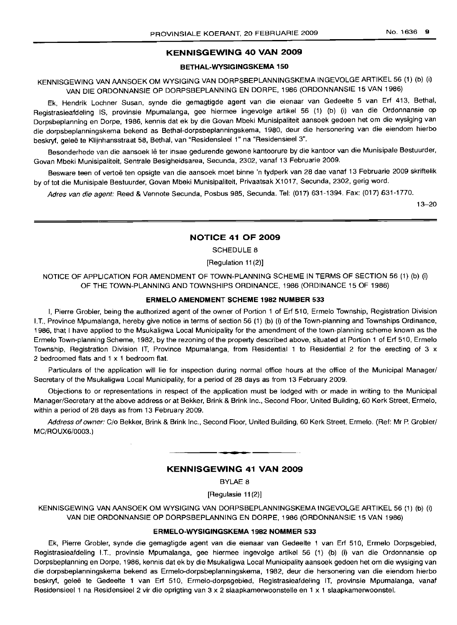# **KENNISGEWING 40 VAN 2009**

#### **BETHAL-WYSIGINGSKEMA 150**

KENNISGEWING VAN AANSOEK OM WYSIGING VAN DORPSBEPLANNINGSKEMA INGEVOLGE ARTIKEL 56 (1) (b) (i) VAN DIE ORDONNANSIE OP DORPSBEPLANNING EN DORPE, 1986 (ORDONNANSIE 15 VAN 1986)

Ek, Hendrik Lochner Susan, synde die gemagtigde agent van die eienaar van Gedeelte 5 van Erf 413, Bethal, Registrasieafdeling IS, provinsie Mpumalanga, gee hiermee ingevolge artikel 56 (1) (b) (i) van die Ordonnansie op Dorpsbeplanning en Dorpe, 1986, kennis dat ek by die Govan Mbeki Munisipaliteit aansoek gedoen het om die wysiging van die dorpsbeplanningskema bekend as Bethal-dorpsbeplanningskema, 1980, deur die hersonering van die eiendom hierbo beskryf, geleë te Klijnhansstraat 58, Bethal, van "Residensieel 1" na "Residensieel 3".

Besonderhede van die aansoek lê ter insae gedurende gewone kantoorure by die kantoor van die Munisipale Bestuurder, Govan Mbeki Munisipaliteit, Sentrale Besigheidsarea, Secunda, 2302, vanaf 13 Februarie 2009.

Besware teen of vertoe ten opsigte van die aansoek moet binne 'n tydperk van 28 dae vanaf 13 Februarie 2009 skriftelik by of tot die Munisipale Bestuurder, Govan Mbeki Munisipaliteit, Privaatsak X1017, Secunda, 2302, gerig word.

Adres van die agent: Reed & Vennote Secunda, Posbus 985, Secunda. Tel: (017) 631-1394. Fax: (017) 631-1770.

13-20

#### **NOTICE 41 OF 2009**

SCHEDULE 8

[Regulation 11(2)]

NOTICE OF APPLICATION FOR AMENDMENT OF TOWN-PLANNING SCHEME IN TERMS OF SECTION 56 (1) (b) (i) OF THE TOWN-PLANNING AND TOWNSHIPS ORDINANCE, 1986 (ORDINANCE 15 OF 1986)

#### **ERMELO AMENDMENT SCHEME 1982 NUMBER 533**

I, Pierre Grobler, being the authorized agent of the owner of Portion 1 of Erf 510, Ermelo Township, Registration Division I.T., Province Mpumalanga, hereby give notice in terms of section 56 (1) (b) (i) of the Town-planning and Townships Ordinance, 1986, that I have applied to the Msukaligwa Local Municipality for the amendment of the town-planning scheme known as the Ermelo Town-planning Scheme, 1982, by the rezoning of the property described above, situated at Portion 1 of Erf 510, Ermelo Township, Registration Division IT, Province Mpumalanga, from Residential 1 to Residential 2 for the erecting of 3 x 2 bedroomed flats and 1 x 1 bedroom flat.

Particulars of the application will lie for inspection during normal office hours at the office of the Municipal Manager/ Secretary of the Msukaligwa Local Municipality, for a period of 28 days as from 13 February 2009.

Objections to or representations in respect of the application must be lodged with or made in writing to the Municipal Manager/Secretary at the above address or at Bekker, Brink & Brink Inc., Second Floor, United Building, 60 Kerk Street, Ermelo, within a period of 28 days as from 13 February 2009.

Address of owner: C/o Bekker, Brink & Brink Inc., Second Floor, United Building, 60 Kerk Street, Ermelo. (Ref: Mr P. Grobler/ MC/ROUX6/0003.)

**- .**

# **KENNISGEWING 41 VAN 2009**

BYLAE 8

[Regulasie 11 (2)]

KENNISGEWING VAN AANSOEK OM WYSIGING VAN DORPSBEPLANNINGSKEMA INGEVOLGE ARTIKEL 56 (1) (b) (i) VAN DIE ORDONNANSIE OP DORPSBEPLANNING EN DORPE, 1986 (ORDONNANSIE 15 VAN 1986)

# **ERMELO-WYSIGINGSKEMA 1982 NOMMER 533**

Ek, Pierre Grobler, synde die gemagtigde agent van die eienaar van Gedeelte 1 van Erf 510, Ermelo Dorpsgebied, Registrasieafdeling I.T., provinsie Mpumalanga, gee hiermee ingevolge artikel 56 (1) (b) (i) van die Ordonnansie op Dorpsbeplanning en Dorpe, 1986, kennis dat ek by die Msukaligwa Local Municipality aansoek gedoen het om die wysiging van die dorpsbeplanningskema bekend as Ermelo-dorpsbeplanningskema, 1982, deur die hersonering van die eiendom hierbo beskryf, qelee te Gedeelte 1 van Erf 510, Ermelo-dorpsgebied, Registrasieafdeling IT, provinsie Mpumalanga, vanaf Residensieel 1 na Residensieel 2 vir die oprigting van 3 x 2 slaapkamerwoonstelle en 1 x 1 slaapkamerwoonstel.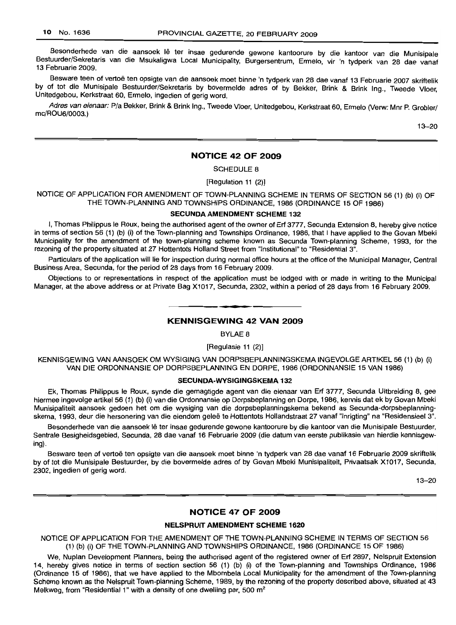Besonderhede van die aansoek lê ter insae gedurende gewone kantoorure by die kantoor van die Munisipale Bestuurder/Sekretaris van die Msukaligwa Local Municipality, Burgersentrum, Ermelo, vir 'n tydperk van 28 dae vanaf 13 Februarie 2009.

Besware teen of vertoë ten opsigte van die aansoek moet binne 'n tydperk van 28 dae vanaf 13 Februarie 2007 skriftelik by. of tot die Munisipale Bestuurder/Sekretaris by bovermelde adres of by Bekker, Brink & Brink Ing., Tweede Vloer, Umtedgebou, Kerkstraat 60, Ermelo, ingedien of gerig word.

Adres van eienaar: P/a Bekker, Brink & Brink Ing., Tweede Vloer, Unitedgebou, Kerkstraat 60, Ermelo (Verw: Mnr P. Grobler/ mc/ROU6/0003.)

13-20

# **NOTICE 42 OF 2009**

SCHEDULE 8

[Regulation 11 (2)]

NOTICE OF APPLICATION FOR AMENDMENT OF TOWN-PLANNING SCHEME IN TERMS OF SECTION 56 (1) (b) (i) OF THE TOWN-PLANNING AND TOWNSHIPS ORDINANCE, 1986 (ORDINANCE 15 OF 1986)

#### SECUNDA AMENDMENT **SCHEME 132**

I, Thomas Philippus le Roux, being the authorised agent of the owner of Erf 3777, Secunda Extension 8, hereby give notice in terms of section 56 (1) (b) (i) of the Town-planning and Townships Ordinance, 1986, that I have applied to the Govan Mbeki Municipality for the amendment of the town-planning scheme known as Secunda Town-planning Scheme, 1993, for the rezoning of the property situated at 27 Hottentots Holland Street from "Institutional" to "Residential 3".

Particulars of the application will lie for inspection during normal office hours at the office of the Municipal Manager, Central Business Area, Secunda, for the period of 28 days from 16 February 2009.

Objections to or representations in respect of the application must be lodged with or made in writing to the Municipal Manager, at the above address or at Private Bag X1017, Secunda, 2302, within a period of 28 days from 16 February 2009.

# **• KENNISGEWING 42 VAN 2009**

BYLAE 8

[Regulasie 11 (2)]

KENNISGEWING VAN AANSOEK OM WYSIGING VAN DORPSBEPLANNINGSKEMA INGEVOLGE ARTIKEL 56 (1) (b) (i) VAN DIE ORDONNANSIE OP DORPSBEPLANNING EN DORPE, 1986 (ORDONNANSIE 15 VAN 1986)

# **SECUNDA-WYSIGINGSKEMA 132**

Ek, Thomas Philippus Ie Roux, synde die gemagtigde agent van die eienaar van Erf 3777, Secunda Uitbreiding 8, gee hiermee ingevolge artikel 56 (1) (b) (i) van die Ordonnansie op Dorpsbeplanning en Dorpe, 1986, kennis dat ek by Govan Mbeki Munisipaliteit aansoek gedoen het om die wysiging van die dorpsbeplanningskema bekend as Secunda-dorpsbeplanningskema, 1993, deur die hersonering van die eiendom gelee te Hottentots Hollandstraat 27 vanaf "Inrigting" na "Residensieel 3".

Besonderhede van die aansoek lê ter insae gedurende gewone kantoorure by die kantoor van die Munisipale Bestuurder, Sentrale Besigheidsgebied, Secunda, 28 dae vanaf 16 Februarie 2009 (die datum van eerste publikasie van hierdie kennisgewing).

Besware teen of vertoë ten opsigte van die aansoek moet binne 'n tydperk van 28 dae vanaf 16 Februarie 2009 skriftelik by of tot die Munisipale Bestuurder, by die bovermelde adres of by Govan Mbeki Munisipaliteit, Privaatsak X1017, Secunda, 2302, ingedien of gerig word.

13-20

# **NOTICE 47 OF 2009**

#### **NELSPRUIT AMENDMENT SCHEME 1620**

NOTICE OF APPLICATION FOR THE AMENDMENT OF THE TOWN-PLANNING SCHEME IN TERMS OF SECTION 56 (1) (b) (i) OF THE TOWN-PLANNING AND TOWNSHIPS ORDINANCE, 1986 (ORDINANCE 15 OF 1986)

We, Nuplan Development Planners, being the authorised agent of the registered owner of Erf 2897, Nelspruit Extension 14, hereby gives notice in terms of section section 56 (1) (b) (i) of the Town-planning and Townships Ordinance, 1986 (Ordinance 15 of 1986), that we have applied to the Mbombela Local Municipality for the amendment of the Town-planning Scheme known as the Nelspruit Town-planning Scheme, 1989, by the rezoning of the property described above, situated at 43 Melkweg, from "Residential 1" with a density of one dwelling per, 500 m<sup>2</sup>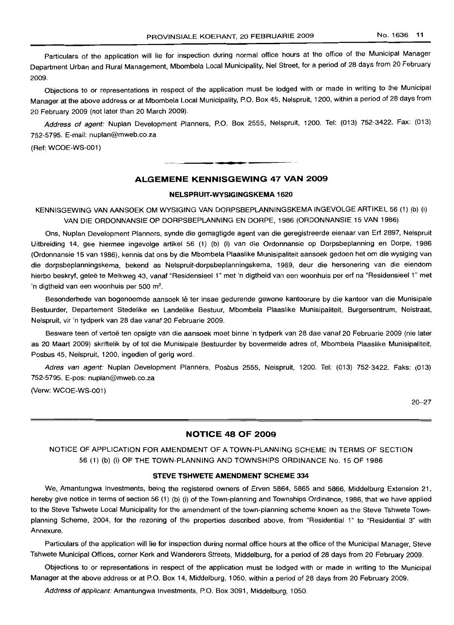Particulars of the application will lie for inspection during normal office hours at the office of the Municipal Manager Department Urban and Rural Management, Mbombela Local Municipality, Nel Street, for a period of 28 days from 20 February 2009.

Objections to or representations in respect of the application must be lodged with or made in writing to the Municipal Manager at the above address or at Mbombela Local Municipality, P.O. Box 45, Nelspruit, 1200, within a period of 28 days from 20 February 2009 (not later than 20 March 2009).

Address of agent: Nuplan Development Planners, P.O. Box 2555, Nelspruit, 1200. Tel: (013) 752-3422. Fax: (013) 752-5795. E-mail: nuplan@mweb.co.za

(Ref: WCOE-WS-001)

# **ALGEMENE KENNISGEWING 47 VAN 2009**

**• •**

#### **NELSPRUIT-WYSIGINGSKEMA 1620**

KENNISGEWING VAN AANSOEK OM WYSIGING VAN DORPSBEPLANNINGSKEMA INGEVOLGE ARTIKEL 56 (1) (b) (i) VAN DIE ORDONNANSIE OP DORPSBEPLANNING EN DORPE, 1986 (ORDONNANSIE 15 VAN 1986)

Ons, Nuplan Development Planners, synde die gemagtigde agent van die geregistreerde eienaar van Ert 2897, Nelspruit Uitbreiding 14, gee hiermee ingevolge artikel 56 (1) (b) (i) van die Ordonnansie op Dorpsbeplanning en Dorpe, 1986 (Ordonnansie 15 van 1986), kennis dat ons by die Mbombela Plaaslike Munisipaliteit aansoek gedoen het om die wysiging van die dorpsbeplanningskema, bekend as Nelspruit-dorpsbeplanningskema, 1989, deur die hersonering van die eiendom hierbo beskryf, geleë te Melkweg 43, vanaf "Residensieel 1" met 'n digtheid van een woonhuis per erf na "Residensieel 1" met 'n digtheid van een woonhuis per 500 m<sup>2</sup>.

Besonderhede van bogenoemde aansoek lê ter insae gedurende gewone kantoorure by die kantoor van die Munisipale Bestuurder, Departement Stedelike en Landelike Bestuur, Mbombela Plaaslike Munisipaliteit, Burgersentrum, Nelstraat, Nelspruit, vir 'n tydperk van 28 dae vanaf 20 Februarie 2009.

Besware teen of vertoe ten opsigte van die aansoek moet binne 'n tydperk van 28 dae vanaf 20 Februarie 2009 (nie later as 20 Maart 2009) skriftelik by of tot die Munisipale Bestuurder by bovermelde adres of, Mbombela Plaaslike Munisipaliteit, Posbus 45, Nelspruit, 1200, ingedien of gerig word.

Adres van agent: Nuplan Development Planners, Posbus 2555, Nelspruit, 1200. Tel: (013) 752-3422. Faks: (013) 752-5795. E-pos: nuplan@mweb.co.za

(Verw: WCOE-WS-001)

20-27

# **NOTICE 48 OF 2009**

# NOTICE OF APPLICATION FOR AMENDMENT OF A TOWN-PLANNING SCHEME IN TERMS OF SECTION 56 (1) (b) (i) OF THE TOWN-PLANNING AND TOWNSHIPS ORDINANCE No. 15 OF 1986

#### **STEVE TSHWETE AMENDMENT SCHEME 334**

We, Amantungwa Investments, being the registered owners of Erven 5864, 5865 and 5866, Middelburg Extension 21, hereby give notice in terms of section 56 (1) (b) (i) of the Town-planning and Townships Ordinance, 1986, that we have applied to the Steve Tshwete Local Municipality for the amendment of the town-planning scheme known as the Steve Tshwete Townplanning Scheme, 2004, for the rezoning of the properties described above, from "Residential 1" to "Residential 3" with Annexure.

Particulars of the application will lie for inspection during normal office hours at the office of the Municipal Manager, Steve Tshwete Municipal Offices, corner Kerk and Wanderers Streets, Middelburg, for a period of 28 days from 20 February 2009.

Objections to or representations in respect of the application must be lodged with or made in writing to the Municipal Manager at the above address or at P.O. Box 14, Middelburg, 1050, within a period of 28 days from 20 February 2009.

Address of applicant: Amantungwa Investments, P.O. Box 3091, Middelburg, 1050.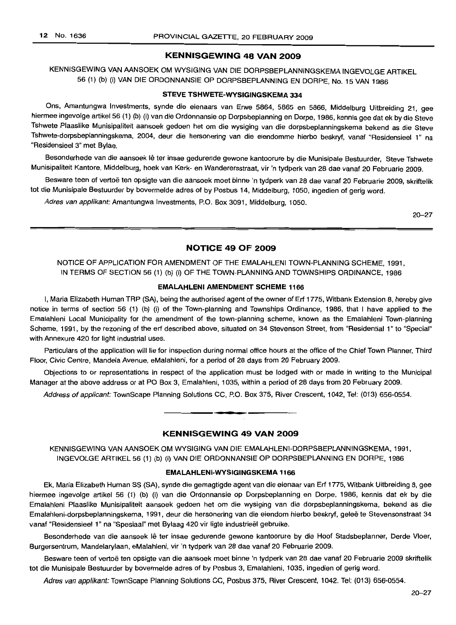# **KENNISGEWING 48 VAN 2009**

KENNISGEWING VAN AANSOEK OM WYSIGING VAN DIE DORPSBEPLANNINGSKEMA INGEVOLGE ARTIKEL 56 (1) (b) (i) VAN DIE ORDONNANSIE OP DORPSBEPLANNING EN DORPE, No. 15 VAN 1986

#### **STEVE TSHWETE-WYSIGINGSKEMA 334**

Ons, Amantungwa Investments, synde die eienaars van Erwe 5864, 5865 en 5866, Middelburg Uitbreiding 21, gee hiermee ingevolge artikel 56 (1) (b) (i) van die Ordonnansie op Dorpsbeplanning en Dorpe, 1986, kennis gee dat ek by die Steve Tshwete Plaaslike Munisipaliteit aansoek gedoen het om die wysiging van die dorpsbeplanningskema bekend as die Steve Tshwete-dorpsbeplanningskema, 2004, deur die hersonering van die eiendomme hierbo beskryf, vanaf "Residensieel 1" na "Residensieel 3" met Bylae.

Besonderhede van die aansoek lê ter insae gedurende gewone kantoorure by die Munisipale Bestuurder, Steve Tshwete Munisipaliteit Kantore, Middelburg, hoek van Kerk- en Wanderersstraat, vir 'n tydperk van 28 dae vanaf 20 Februarie 2009.

Besware teen of vertoë ten opsigte van die aansoek moet binne 'n tydperk van 28 dae vanaf 20 Februarie 2009, skriftelik tot die Munisipale Bestuurder by bovermelde adres of by Posbus 14, Middelburg, 1050, ingedien of gerig word.

Adres van applikant: Amantungwa Investments, P.O. Box 3091, Middelburg, 1050.

20 - 27

#### **NOTICE 49 OF 2009**

NOTICE OF APPLICATION FOR AMENDMENT OF THE EMALAHLENI TOWN-PLANNING SCHEME, 1991, IN TERMS OF SECTION 56 (1) (b) (i) OF THE TOWN-PLANNING AND TOWNSHIPS ORDINANCE, 1986

# **EMALAHLENI AMENDMENT SCHEME 1166**

I, Maria Elizabeth Human TRP (SA), being the authorised agent of the owner of Erf 1775, Witbank Extension 8, hereby give notice in terms of section 56 (1) (b) (i) of the Town-planning and Townships Ordinance, 1986, that I have applied to the Emalahleni Local Municipality for the amendment of the town-planning scheme, known as the Emalahleni Town-planning Scheme, 1991, by the rezoning of the ert described above, situated on 34 Stevenson Street, from "Residential 1" to "Special" with Annexure 420 for light industrial uses.

Particulars of the application will lie for inspection during normal office hours at the office of the Chief Town Planner, Third Floor, Civic Centre, Mandela Avenue, eMalahleni, for a period of 28 days from 20 February 2009.

Objections to or representations in respect of the application must be lodged with or made in writing to the Municipal Manager at the above address or at PO Box 3, Emalahleni, 1035, within a period of 28 days from 20 February 2009.

Address of applicant: TownScape Planning Solutions CC, P.O. Box 375, River Crescent, 1042, Tel: (013) 656-0554.

# **KENNISGEWING 49 VAN 2009**

**• •**

KENNISGEWING VAN AANSOEK OM WYSIGING VAN DIE EMALAHLENI-DORPSBEPLANNINGSKEMA, 1991, INGEVOLGE ARTIKEL 56 (1) (b) (i) VAN DIE ORDONNANSIE OP DORPSBEPLANNING EN DORPE, 1986

#### **EMALAHLENI-WYSIGINGSKEMA 1166**

Ek, Maria Elizabeth Human SS (SA), synde die gemagtigde agent van die eienaar van Erf 1775, Witbank Uitbreiding 8, gee hiermee ingevolge artikel 56 (1) (b) (i) van die Ordonnansie op Dorpsbeplanning en Dorpe, 1986, kennis dat ek by die Emalahleni Plaaslike Munisipaliteit aansoek gedoen het om die wysiging van die dorpsbeplanningskema, bekend as die Emalahleni-dorpsbeplanningskema, 1991, deur die hersonering van die eiendom hierbo beskryf, gelee te Stevensonstraat 34 vanaf "Residensieel 1" na "Spesiaal" met Bylaag 420 vir ligte industrieël gebruike.

Besonderhede van die aansoek lê ter insae gedurende gewone kantoorure by die Hoof Stadsbeplanner, Derde Vloer, Burgersentrum, Mandelarylaan, eMalahleni, vir 'n tydperk van 28 dae vanaf 20 Februarie 2009.

Besware teen of vertoë ten opsigte van die aansoek moet binne 'n tydperk van 28 dae vanaf 20 Februarie 2009 skriftelik tot die Munisipale Bestuurder by bovermelde adres of by Posbus 3, Emalahleni, 1035, ingedien of gerig word.

Adres van applikant: TownScape Planning Solutions CC, Posbus 375, River Crescent, 1042. Tel: (013) 656-0554.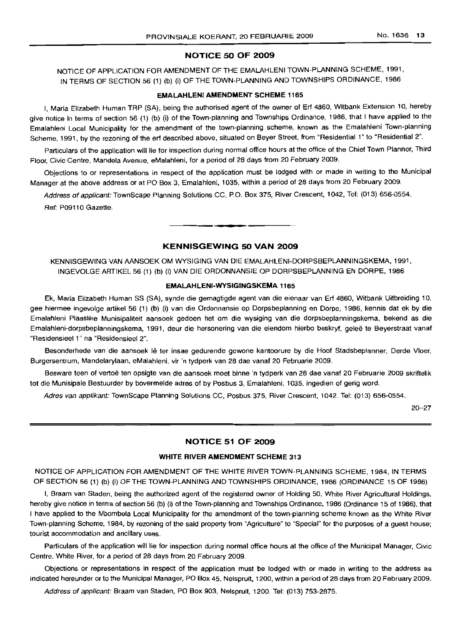## **NOTICE 50 OF 2009**

NOTICE OF APPLICATION FOR AMENDMENT OF THE EMALAHLENI TOWN-PLANNING SCHEME, 1991, IN TERMS OF SECTION 56 (1) (b) (i) OF THE TOWN-PLANNING AND TOWNSHIPS ORDINANCE, 1986

#### **EMALAHLENI AMENDMENT SCHEME** 1165

I, Maria Elizabeth Human TRP (SA), being the authorised agent of the owner of Erf 4860, Witbank Extension 10, hereby give notice in terms of section 56 (1) (b) (i) of the Town-planning and Townships Ordinance, 1986, that I have applied to the Emalahleni Local Municipality for the amendment of the town-planning scheme, known as the Emalahleni Town-planning Scheme, 1991, by the rezoning of the erf described above, situated on Beyer Street, from "Residential 1" to "Residential 2".

Particulars of the application will lie for inspection during normal office hours at the office of the Chief Town Planner, Third Floor, Civic Centre, Mandela Avenue, eMalahleni, for a period of 28 days from 20 February 2009.

Objections to or representations in respect of the application must be lodged with or made in writing to the Municipal Manager at the above address or at PO Box 3, Emalahleni, 1035, within a period of 28 days from 20 February 2009.

Address of applicant: TownScape Planning Solutions CC, P.O. Box 375, River Crescent, 1042, Tel: (013) 656-0554. Ref: P09110 Gazette.

**E •**

# **KENNISGEWING 50 VAN 2009**

KENNISGEWING VAN AANSOEK OM WYSIGING VAN DIE EMALAHLENI-DORPSBEPLANNINGSKEMA, 1991, INGEVOLGE ARTIKEL 56 (1) (b) (i) VAN DIE ORDONNANSIE OP DORPSBEPLANNING EN DORPE, 1986

#### **EMALAHLENI-WYSIGINGSKEMA** 1165

Ek, Maria Elizabeth Human SS (SA), synde die gemagtigde agent van die eienaar van Erf 4860, Witbank Uitbreiding 10, gee hiermee inqevolqe artikel 56 (1) (b) (i) van die Ordonnansie op Dorpsbeplanning en Dorpe, 1986, kennis dat ek by die Emalahleni Plaaslike Munisipaliteit aansoek gedoen het om die wysiging van die dorpsbeplanningskema, bekend as die Emalahleni-dorpsbeplanningskema, 1991, deur die hersonering van die eiendom hierbo beskryf, qelee te Beyerstraat vanaf "Residensieel 1" na "Residensieel 2".

Besonderhede van die aansoek lê ter insae gedurende gewone kantoorure by die Hoof Stadsbeplanner, Derde Vloer, Burgersentrum, Mandelarylaan, eMalahleni, vir 'n tydperk van 28 dae vanaf 20 Februarie 2009.

Besware teen of vertoë ten opsigte van die aansoek moet binne 'n tydperk van 28 dae vanaf 20 Februarie 2009 skriftelik tot die Munisipale Bestuurder by bovermelde adres of by Posbus 3, Emalahleni, 1035, ingedien of gerig word.

Adres van applikant: TownScape Planning Solutions CC, Posbus 375, River Crescent, 1042. Tel: (013) 656-0554.

20-27

# **NOTICE 51 OF 2009**

#### **WHITE RIVER AMENDMENT SCHEME** 313

NOTICE OF APPLICATION FOR AMENDMENT OF THE WHITE RIVER TOWN-PLANNING SCHEME, 1984, IN TERMS OF SECTION 56 (1) (b) (i) OF THE TOWN-PLANNING AND TOWNSHIPS ORDINANCE, 1986 (ORDINANCE 15 OF 1986)

I, Braam van Staden, being the authorized agent of the registered owner of Holding 50, White River Agricultural Holdings, hereby give notice in terms of section 56 (b) (i) of the Town-planning and Townships Ordinance, 1986 (Ordinance 15 of 1986), that I have applied to the Mbombela Local Municipality for the amendment of the town-planning scheme known as the White River Town-planning Scheme, 1984, by rezoning of the said property from "Agriculture" to "Special" for the purposes of a guest house; tourist accommodation and ancillary uses.

Particulars of the application will lie for inspection during normal office hours at the office of the Municipal Manager, Civic Centre, White River, for a period of 28 days from 20 February 2009.

Objections or representations in respect of the application must be lodged with or made in writing to the address as indicated hereunder or to the Municipal Manager, PO Box 45, Nelspruit, 1200, within a period of 28 days from 20 February 2009.

Address of applicant: Braam van Staden, PO Box 903, Nelspruit, 1200. Tel: (013) 753-2875.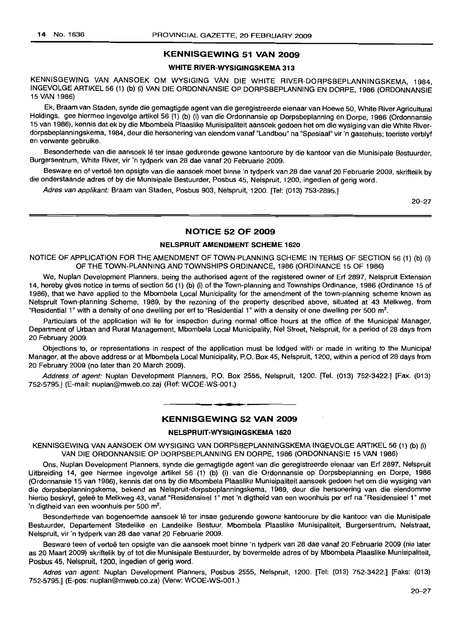# **KENNISGEWING 51 VAN 2009**

# **WHITE RIVER-WYSIGINGSKEMA 313**

KENNISGEWING VAN AANSOEK OM WYSIGING VAN DIE WHITE RIVER-DORPSBEPLANNINGSKEMA, 1984, INGEVOLGE ARTIKEL 56 (1) (b) (i) VAN DIE ORDONNANSIE OP DORPSBEPLANNING EN DORPE, 1986 (ORDONNANSIE 15 VAN 1986)

Ek, Braam van Staden, synde die gemagtigde agent van die geregistreerde eienaar van Hoewe 50, White River Agricultural Holdings, gee hiermee ingevolge artikel 56 (1) (b) (i) van die Ordonnansie op Dorpsbeplanning en Dorpe, 1986 (Ordonnansie 15 van 1986), kennis dat ek by die Mbombela Plaaslike Munisipaliteit aansoek gedoen het om die wysiging van die White Riverdorpsbeplanningskema, 1984, deur die hersonering van eiendom vanaf "Landbou" na "Spesiaal" vir 'n gastehuis; toeriste verblyf en verwante gebruike.

Besonderhede van die aansoek lê ter insae gedurende gewone kantoorure by die kantoor van die Munisipale Bestuurder, Burgersentrum, White River, vir 'n tydperk van 28 dae vanaf 20 Februarie 2009.

Besware en of vertoe ten opsigte van die aansoek moet binne 'n tydperk van 28 dae vanaf 20 Februarie 2009, skriftelik by die onderstaande adres of by die Munisipale Bestuurder, Posbus 45, Nelspruit, 1200, ingedien of gerig word.

Adres van applikant: Braam van Staden, Posbus 903, Nelspruit, 1200, ITel: (013) 753-2895.1

2D-27

# **NOTICE 52 OF 2009**

#### **NELSPRUIT AMENDMENT SCHEME 1620**

NOTICE OF APPLICATION FOR THE AMENDMENT OF TOWN-PLANNING SCHEME IN TERMS OF SECTION 56 (1) (b) (i) OF THE TOWN-PLANNING AND TOWNSHIPS ORDINANCE, 1986 (ORDINANCE 15 OF 1986)

We, Nuplan Development Planners, being the authorised agent of the registered owner of Ert 2897, Nelspruit Extension 14, hereby gives notice in terms of section 56 (1) (b) (i) of the Town-planning and Townships Ordinance, 1986 (Ordinance 15 of 1986), that we have applied to the Mbombela Local Municipality for the amendment of the town-planning scheme known as Nelspruit Town-planning Scheme, 1989, by the rezoning of the property described above, situated at 43 Melkweg, from "Residential 1" with a density of one dwelling per erf to "Residential 1" with a density of one dwelling per 500 m<sup>2</sup>.

Particulars of the application will lie for inspection during normal office hours at the office of the Municipal Manager, Department of Urban and Rural Management, Mbombela Local Municipality, Nel Street, Nelspruit, for a period of 28 days from 20 February 2009.

Objections to, or representations in respect of the application must be lodged with or made in writing to the Municipal Manager, at the above address or at Mbombela Local Municipality, P.O. Box 45, Nelspruit, 1200, within a period of 28 days from 20 February 2009 (no later than 20 March 2009).

Address of agent: Nuplan Development Planners, P.O. Box 2555, Nelspruit, 1200. [Tel. (013) 752-3422.] [Fax. (013) 752-5795.] (E-mail: nuplan@mweb.co.za) (Ref: WCOE-WS-001.)

#### **KENNISGEWING 52 VAN 2009**

**• •**

#### **NELSPRUIT-WYSIGINGSKEMA 1620**

KENNISGEWING VAN AANSOEK OM WYSIGING VAN DORPSBEPLANNINGSKEMA INGEVOLGE ARTIKEL 56 (1) (b) (i) VAN DIE ORDONNANSIE OP DORPSBEPLANNING EN DORPE, 1986 (ORDONNANSIE 15 VAN 1986)

Ons, Nuplan Development Planners, synde die gemagtigde agent van die geregistreerde eienaar van Ert 2897, Nelspruit Uitbreiding 14, gee hiermee ingevolge artikel 56 (1) (b) (i) van die Ordonnansie op Dorpsbeplanning en Dorpe, 1986 (Ordonnansie 15 van 1986), kennis dat ons by die Mbombela Plaaslike Munisipaliteit aansoek gedoen het om die wysiging van die dorpsbeplanningskema, bekend as Nelspruit-dorpsbeplanningskema, 1989, deur die hersonering van die eiendomme hierbo beskryf, geleë te Melkweg 43, vanaf "Residensieel 1" met 'n digtheid van een woonhuis per erf na "Residensieel 1" met 'n digtheid van een woonhuis per 500 m<sup>2</sup>.

Besonderhede van bogenoemde aansoek lê ter insae gedurende gewone kantoorure by die kantoor van die Munisipale Bestuurder, Departement Stedelike en Landelike Bestuur, Mbombela Plaaslike Munisipaliteit, Burgersentrum, Nelstraat, Nelspruit, vir 'n tydperk van 28 dae vanaf 20 Februarie 2009.

Besware teen of vertoë ten opsigte van die aansoek moet binne 'n tydperk van 28 dae vanaf 20 Februarie 2009 (nie later as 20 Maart 2009) skriftelik by of tot die Munisipale Bestuurder, by bovermelde adres of by Mbombela Plaaslike Munisipaliteit, Posbus 45, Nelspruit, 1200, ingedien of gerig word.

Adres van agent: Nuplan Development Planners, Posbus 2555, Nelspruit, 1200. [Tel: (013) 752-3422.] [Faks: (013) 752-5795.] (E-pos: nuplan@mweb.co.za) (Verw: WCOE-WS-001.)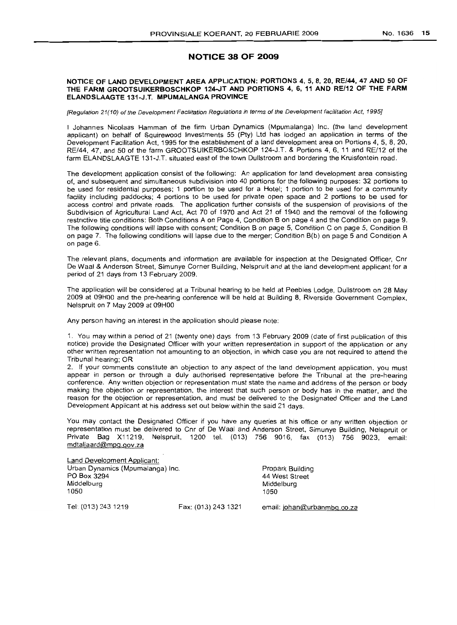# **NOTICE 38 OF 2009**

## NOTICE OF LAND DEVELOPMENT AREA APPLICATION: PORTIONS 4, 5, S, 20, RE/44, 47 AND 50 OF THE FARM GROOTSUIKERBOSCHKOP 124-JT AND PORTIONS 4, 6, 11 AND RE/12 OF THE FARM ELANDSLAAGTE 131-J.T. MPUMALANGA PROVINCE

[Regulation 21(10) of the Development Facilitation Regulations in terms of the Development facilitation Act, 1995J

I Johannes Nicolaas Hamman of the firm Urban Dynamics (Mpumalanga) Inc. (the land development applicant) on behalf of Squirewood Investments 55 (Pty) Ltd has lodged an application in terms of the Development Facilitation Act. 1995 for the establishment of a land development area on Portions 4, 5, 8, 20, RE/44, 47, and 50 of the farm GROOTSUIKERBOSCHKOP 124-J.T. & Portions 4, 6. 11 and RE/12 of the farm ELANDSLAAGTE 131-J.T. situated east of the town Dullstroom and bordering the Kruisfontein road.

The development application consist of the following: An application for land development area consisting of, and subsequent and simultaneous subdivision into 40 portions for the following purposes: 32 portions to be used for residential purposes; 1 portion to be used for a Hotel; 1 portion to be used for a community facility including paddocks; 4 portions to be used for private open space and 2 portions to be used for access control and private roads. The application further consists of the suspension of provisions of the Subdivision of Agricultural Land Act. Act 70 of 1970 and Act 21 of 1940 and the removal of the following restnctive title conditions: Both Conditions A on Page 4, Condition B on page 4 and the Condition on page 9. The following conditions will lapse with consent; Condition 8 on page 5, Condition C on page 5, Condition B on page 7'. The following conditions will lapse due to the merger; Condition B(b) on page 5 and Condition A on page 6.

The relevant plans, documents and information are available for inspection at the Designated Officer. Cnr De Waal & Anderson Street, Simunye Corner Building. Nelspruit and at the land development applicant for a period of 21 days from 13 February 2009.

The application will be considered at a Tribunal hearing to be held at Peebles Lodge, Dullstroom on 28 May 2009 at 09HOO and the pre-hearing conference will be held at Building 8. Riverside Government Complex, Nelspruit on 7 May 2009 at 09HOO

Any person having an interest in the application should please note:

1. You may Within a period of 21 (twenty one) days from 13 February 2009 (date of first publication of this notice) provide the Designated Officer with your written representation in support of the application or any other written representation not amounting to an objection, in which case you are not required to attend the Tribunal hearing; OR

2. If your comments constitute an objection to any aspect of the land development application, you must appear in person or through a duly authorised representative before the Tribunal at the pre-hearing conference. Any written objection or representation must state the name and address of the person or body making the objection or representation, the interest that such person or body has in the matter, and the reason for the objection or representation, and must be delivered to the Designated Officer and the Land Development Applicant at his address set out below within the said 21 days.

You may contact the Designated Officer if you have any queries at his office or any written objection or representation must be delivered to Cnr of De Waal and Anderson Street, Simunye Building, Nelspruit or Private Bag X11219, Nelspruit, 1200 tel. (013) 756 9016, fax (013) 756 9023, email: mdtaljaard@mpg.gov.za

Land Development Applicant: Urban Dynamics (Mpumalanga) Inc. PO Box 3294 Middelburg 1050 Propark BUilding 44 West Street Middelburg 1050 Tel, (013) 243 1219 Fax: (013) 2431321 email: johan@urbanmbq.co.za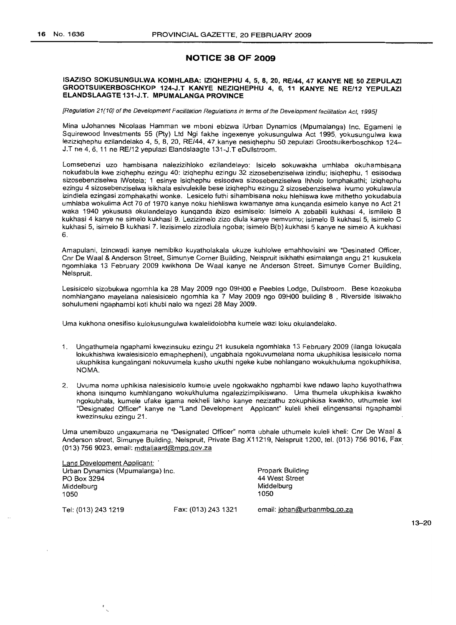# **NOTICE 38 OF 2009**

#### ISAZISO SOKUSUNGULWA KOMHLABA: IZIQHEPHU 4, 5, 8, 20, RE/44, 47 KANYE NE 50 ZEPULAZI GROOTSUIKERBOSCHKOP 124-J.T KANYE NEZIQHEPHU 4, 6, 11 KANYE NE RE/12 YEPULAZI ELANDSLAAGTE 131-J.T. MPUMALANGA PROVINCE

[Regulation 21(10) of the Development Facilitation Regulations in terms of the Development facilitation Act, 1995]

Mina uJohannes Nicolaas Hamman we mboni ebizwa iUrban Dynamics (Mpumalanga) Inc. Egameni Ie Squirewood Investments 55 (Pty) Ltd Ngi fakhe ingexenye yokusungulwa Act 1995, yokusungulwa kwa leziziqhephu ezilandelako 4, 5, 8, 20, RE/44, 47 kanye nesiqhephu 50 zepulazi Grootsuikerboschkop 124- J.T ne 4,6,11 ne RE/12 yepulazi Elandslaagte 131-J.T eDullstroom.

Lomsebenzi uzo hambisana nalezizihloko ezllandelayo: Isicelo sokuwakha umhlaba okuhambisana nokudabula kwe ziqhephu ezingu 40: iziqhephu ezingu 32 zizosebenziselwa izindlu; isiqhephu, 1 esisodwa sizosebenziselwa iWotela; 1 esinye isiqhephu esisodwa sizosebenziselwa Ihholo lomphakathi; iziqhephu ezingu 4 sizosebenziselwa isikhala esivulekile bese iziqhephu ezingu 2 sizosebenziselwa ivumo yokulawula izindlela ezingasi zomphakathi wonke. Lesicelo futhi sihambisana noku hlehliswa kwe mithetho yokudabula umhlaba wokulima Act 70 of 1970 kanye noku hlehliswa kwamanye ama kunqanda esimelo kanye no Act 21 waka 1940 yokususa okulandelayo kunqanda ibizo esimiselo: Isimelo A zobabili kukhasi 4, ismilelo B kukhasi 4 kanye ne simelo kukhasi 9. Lezizimelo zizo dlula kanye nemvumo; isimelo B kukhasi 5, isimelo C kukhasi 5, isimelo B kukhasi 7. lezisimelo zizodlula ngoba; isimelo B(b) kukhasi 5 kanye ne simelo A kukhasi 6.

Amapulani, Izincwadi kanye nemibiko kuyatholakala ukuze kuhlolwe emahhovisini we "Desinated Officer, Cnr De Waal & Anderson Street, Simunye Corner BUilding, Nelspruit isikhathi esimalanga angu 21 kusukela ngomhlaka 13 February 2009 kwikhona De Waal kanye ne Anderson Street. Simunye Corner Building, Nelspruit.

Lesisicelo sizobukwa ngomhla ka 28 May 2009 ngo 09HOO e Peebles Lodge, Dullstroom. Bese kozokuba nomhlangano mayelana nalesisicelo ngomhla ka 7 May 2009 ngo 09HOO building 8 , Riverside isiwakho sohulumeni ngaphambi koti khubi nalo wa ngezi 28 May 2009.

Uma kukhona onesifiso kulokusungulwa kwalelidolobha kumele wazi loku okulandelako.

- 1. Ungathumela ngaphami kwezinsuku ezingu 21 kusukela ngomhlaka 13 February 2009 (i1anga lokuqala lokukhishwa kwalesisicelo emaphepheni), ungabhala ngokuvumelana noma ukuphikisa lesisicelo noma ukuphikisa kungalingani nokuvumela kusho ukuthi ngeke kube nohlangano wokukhuluma ngokuphikisa, NOMA.
- 2. Uvuma noma uphikisa nalesisicelo kumele uvele ngokwakho ngphambi kwe ndawo lapho kuyothathwa khona isinqumo kumhlangano wokukhuluma ngalezizimpikiswano. Uma thumela ukuphikisa kwakho ngokubhala, kumele ufake igama nekheli lakho kanye nezizathu zokuphikisa kwakho, uthumele kwi "Designated Officer" kanye ne "Land Development Applicant" kuleli kheli elingensansi ngaphambi kwezinsuku ezingu 21.

Uma unemibuzo ungaxumana ne "Designated Officer" noma ubhale uthumele kuleli kheli: Cnr De Waal & Anderson street, Simunye Building, Nelspruit, Private Bag X11219, Nelspruit 1200, tel. (013) 756 9016, Fax (013) 756 9023, email: mdtaljaard@mpg.gov.za .

| Land Development Applicant:      |                     |                             |
|----------------------------------|---------------------|-----------------------------|
| Urban Dynamics (Mpumalanga) Inc. |                     | Propark Building            |
| PO Box 3294                      |                     | 44 West Street              |
| Middelburg                       |                     | Middelburg                  |
| 1050                             |                     | 1050                        |
| Tel: (013) 243 1219              | Fax: (013) 243 1321 | email: johan@urbanmbg.co.za |

13-20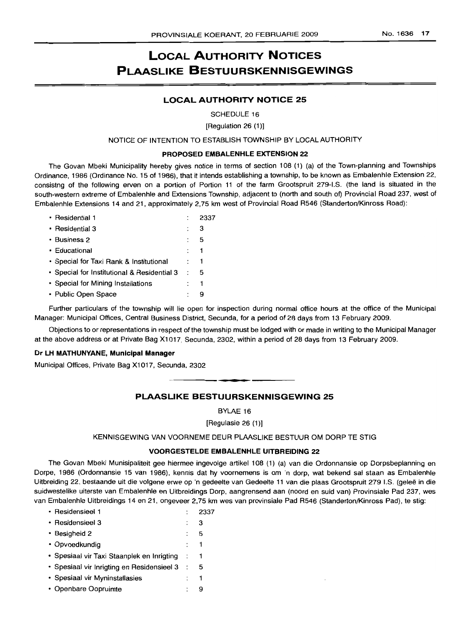# **LOCAL AUTHORITY NOTICES PLAASLIKE BESTUURSKENNISGEWINGS**

# **LOCAL AUTHORITY NOTICE 25**

SCHEDULE 16

[Regulation 26 (1)]

NOTICE OF INTENTION TO ESTABLISH TOWNSHIP BY LOCAL AUTHORITY

#### **PROPOSED EMBALENHLE EXTENSION 22**

The Govan Mbeki Municipality hereby gives notice in terms of section 108 (1) (a) of the Town-planning and Townships Ordinance, 1986 (Ordinance No. 15 of 1986), that it intends establishing a township, to be known as Embalenhle Extension 22, consistng of the following erven on a portion of Portion 11 of the farm Grootspruit 279-I.S. (the land is situated in the south-western extreme of Embalenhle and Extensions Township, adjacent to (north and south of) Provincial Road 237, west of Embalenhle Extensions 14 and 21, approximately 2,75 km west of Provincial Road R546 (Standerton/Kinross Road):

| • Residential 1                             |   | 2337 |
|---------------------------------------------|---|------|
| • Residential 3                             |   | з    |
| • Business 2                                |   | 5    |
| • Educational                               |   | 1    |
| • Special for Taxi Rank & Institutional     | ÷ |      |
| · Special for Institutional & Residential 3 | ÷ | 5    |
| • Special for Mining Installations          |   | 1    |
| • Public Open Space                         |   | 9    |

Further particulars of the township will lie open for inspection during normal office hours at the office of the Municipal Manager: Municipal Offices, Central Business District, Secunda, for a period of 28 days from 13 February 2009.

Objections to or representations in respect of the township must be lodged with or made in writing to the Municipal Manager at the above address or at Private Bag X1017, Secunda, 2302, within a period of 28 days from 13 February 2009.

# **Dr LH MATHUNYANE, Municipal Manager**

Municipal Offices, Private Bag X1017, Secunda, 2302

# **PLAASLIKE BESTUURSKENNISGEWING 25**

**- I**

BYLAE 16

[Regulasie 26 (1)]

# KENNISGEWING VAN VOORNEME DEUR PLAASLIKE BESTUUR OM DORP TE STIG

# **VOORGESTELDE EMBALENHLE UITBREIDING 22**

The Govan Mbeki Munisipaliteit gee hiermee ingevolge artikel 108 (1) (a) van die Ordonnansie op Dorpsbeplanning en Dorpe, 1986 (Ordonnansie 15 van 1986), kennis dat hy voornemens is om 'n dorp, wat bekend sal staan as Embalenhle Uitbreiding 22, bestaande uit die volgene erwe op 'n gedeelte van Gedeelte 11 van die plaas Grootspruit 279 I.S. (gelee in die suidwestelike uiterste van Embalenhle en Uitbreidings Dorp, aangrensend aan (noord en suid van) Provinsiale Pad 237, wes van Embalenhle Uitbreidings 14 en 21, ongeveer 2,75 km wes van provinsiale Pad R546 (Standerton/Kinross Pad), te stig:

| • Residensieel 1                           |                | 2337 |
|--------------------------------------------|----------------|------|
| • Residensieel 3                           |                | з    |
| • Besigheid 2                              |                | 5    |
| • Opvoedkundig                             |                | 1    |
| • Spesiaal vir Taxi Staanplek en Inrigting | $\mathbb{R}^n$ |      |
| • Spesiaal vir Inrigting en Residensieel 3 | $\cdot$ :      | 5    |
| • Spesiaal vir Myninstallasies             |                | 1    |
| • Openbare Oopruimte                       |                |      |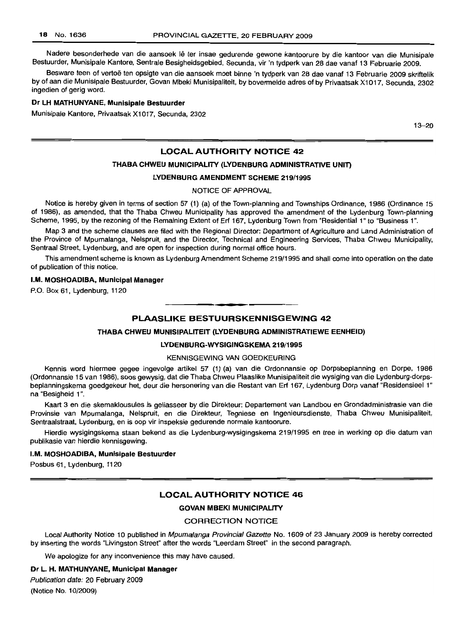Nadere besonderhede van die aansoek lê ter insae gedurende gewone kantoorure by die kantoor van die Munisipale Bestuurder, Munisipale Kantore, Sentrale Besigheidsgebied, Secunda, vir 'n tydperk van 28 dae vanaf 13 Februarie 2009.

Besware teen of vertoe ten opsigte van die aansoek moet binne 'n tydperk van 28 dae vanaf 13 Februarie 2009 skriftelik by of aan die Munisipale Bestuurder, Govan Mbeki Munisipaliteit, by bovermelde adres of by Privaatsak X1017, Secunda, 2302 ingedien of gerig word.

#### Dr LH MATHLINVANE, Munisipale Bestuurder

Munisipale Kantore, Privaatsak X1017, Secunda, 2302

13-20

# LOCAL AUTHORITY NOTICE 42

#### THABA CHWEU MUNICIPALITY (LYDENBURG ADMINISTRATIVE UNIT)

#### LVDENBURG AMENDMENT SCHEME 219/1995

#### NOTICE OF APPROVAL

Notice is hereby given in terms of section 57 (1) (a) of the Town-planning and Townships Ordinance, 1986 (Ordinance 15 of 1986), as amended, that the Thaba Chweu Municipality has approved the amendment of the Lydenburg Town-planning Scheme, 1995, by the rezoning of the Remaining Extent of Erf 167, Lydenburg Town from "Residential 1" to "Business 1".

Map 3 and the scheme clauses are filed with the Regional Director: Department of Agriculture and Land Administration of the Province of Mpumalanga, Nelspruit, and the Director, Technical and Engineering Services, Thaba Chweu Municipality, Sentraal Street, Lydenburg, and are open for inspection during normal office hours.

This amendment scheme is known as Lydenburg Amendment Scheme 219/1995 and shall come into operation on the date of publication of this notice.

#### I.M. MOSHOADIBA, Municipal Manager

P.O. Box 61, Lydenburg, 1120

## PLAASLIKE BESTUURSKENNISGEWING 42

**• •**

#### THABA CHWEU MUNISIPALITEIT (LYDENBURG ADMINISTRATIEWE EENHEID)

#### LVDENBURG-WYSIGINGSKEMA 219/1995

# KENNISGEWING VAN GOEDKEURING

Kennis word hiermee gegee ingevolge artikel 57 (1) (a) van die Ordonnansie op Dorpsbeplanning en Dorpe, 1986 (Ordonnansie 15 van 1986), soos gewysig, dat die Thaba Chweu Plaaslike Munisipaliteit die wysiging van die Lydenburg-dorpsbeplanningskema goedgekeur het, deur die hersonering van die Restant van Erf 167, Lydenburg Dorp vanaf "Residensieel 1" na "Besigheid 1".

Kaart 3 en die skemaklousules is geliasseer by die Direkteur: Departement van Landbou en Grondadministrasie van die Provinsie van Mpumalanga, Nelspruit, en die Direkteur, Tegniese en Ingenieursdienste, Thaba Chweu Munisipaliteit, Sentraalstraat, Lydenburg, en is oop vir inspeksie gedurende normale kantoorure.

Hierdie wysigingskema staan bekend as die Lydenburg-wysigingskema 219/1995 en tree in werking op die datum van publikasie van hierdie kennisgewing.

#### I.M. MOSHOADIBA, Munisipale Bestuurder

Posbus 61, Lydenburg, 1120

#### LOCAL AUTHORITY NOTICE 46

#### GOVAN MBEKI MUNICIPALITY

#### CORRECTION NOTICE

Local Authority Notice 10 published in Mpumalanga Provincial Gazette No. 1609 of 23 January 2009 is hereby corrected by inserting the words "Livingston Street" after the words "Leerdam Street" in the second paragraph.

We apologize for any inconvenience this may have caused.

#### Dr L. H. MATHUNVANE, Municipal Manager

Publication date: 20 February 2009

(Notice No. 10/2009)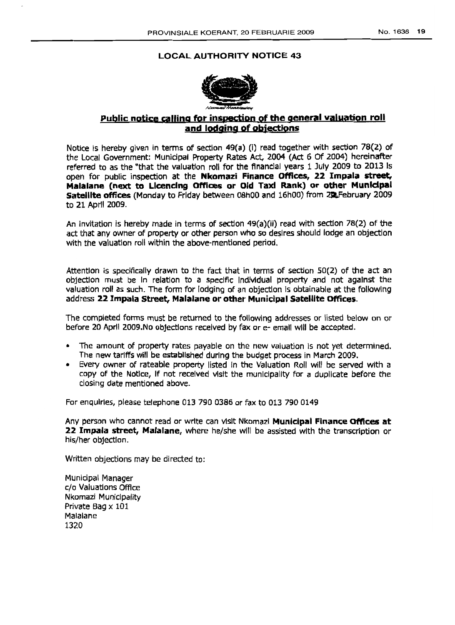# LOCAL AUTHORITY NOTICE 43



# Public notice calling for inspection of the general valuation roll and lodging of objections

Notice Is hereby given in terms of section 49(a) (I) read together with section 78(2) of the Local Government: Municipal Property Rates Act, 2004 (Act 6 Of 2004) hereinafter referred to as the "that the valuation roll for the flnanclal years 1 July 2009 to 2013 Is open for public inspection at the Nkomazi Finance Offices, 22 Impala *street,* Malalane (next to Llcendng Offices or Old Taxi Rank) or other Munldpal satellite offices (Monday to Friday between OShOO and 16hOO) from 2llFebruary 2009 to 21 April 2009.

An invitation is hereby made in terms of sectlon 49(a)(ii) read with section 78(2) of tne act that anv owner of property or other person who so desires should lodge an objection with the valuation roll within the above-mentioned period.

Attention is specifically drawn to the fact that in terms of section 50(2) of the act an objection must be In relation to a specific IndIvidual property and not against the valuation roll as such. The form for lodging of an objection Is obtainable at the following address 22 Impala Street, Malalane or other Municipal Satellite Offices.

The completed forms must be returned to the following addresses or listed below on or before 20 April 2009.No objections received by fax or e- email will be accepted.

- The amount of property rates payable on the hew valuation Is not yet determined. The new tariffs will be established during the budget process in March 2009.
- Every owner of rateable property listed In the Valuation Roll will be served with a copy of the Notice, If not received visit the municipality for a duplicate before the closing date mentioned above.

For enquiries, please telephone 013 790 0386 or fax to 013 790 0149

Any person who cannot read or write can visit Nkomazi Municipal Finance Offices at 22 Impala street, Malalane, where he/she will be assisted with the transcription or his/her objectIon.

Written abjections may be directed to:

Municipal Manager c/o Valuations Office Nkomazi Municipality Private Bag  $\times$  101 Malalane 1320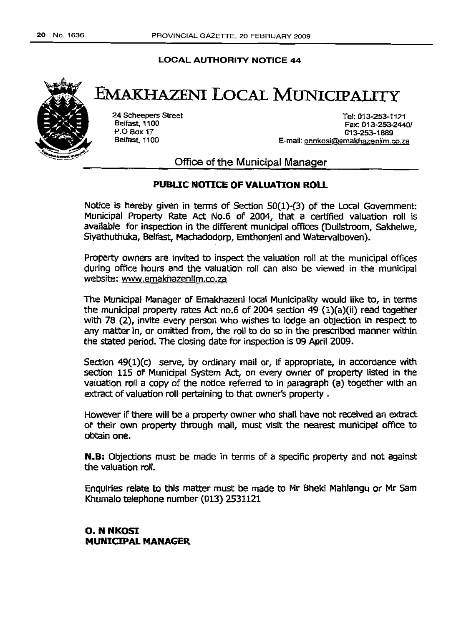# LOCAL AUTHORITY NOTICE 44



# EMAKHAzENI LOCAL MUNICIPALITY

24 SCheepers Street Belfast, 1100 P.O Box 17 Belfast, 1100

Tel: 013-253-1121 Fax: 013-253-24401 013-253-1689 E-mail: onnkosi@emakhazenilm.co.za

Office of the Municipal Manager

# PUBLIC NOTICE OF VALUATION ROll

NOtice is hereby given in terms of Section 50(1)-(3) of the Local Government: Municipal Properly Rate Act No.6 of 2004, that a certified valuation roll is available for inspection in the different municipal offices (Dullstroom, sakhelwe, Siyathuthuka, Belfast, Machadodorp, Emthonjeni and Watervalboven).

Property owners are invited to inspect the valuation roll at the municipal offices during office hours and the valuation roll can also be viewed in the municipal website: www.emakhazenilm.co.za

The Munidpal Manager of Emakhazeni local Municipality would like to, in terms the municipal property rates Act no.6 of 2004 section 49 (l)(a)(ii) read together with 78 (2), invite every person who wishes to lodge an objection in respect to any matter in, or omitted from, the roll to do so in the prescribed manner within the stated period. The closing date for inspection is 09 April 2009.

Section 49(1)(c) serve, by ordinary mail or, if appropriate, in accordance with section 115 of Munidpal System Act, on every owner of property listed in the valuation roll a copy of the notice referred to in paragraph (a) together with an extract of valuation roll pertaining to that owner's property .

However if there will be a property owner who shall have not received an extract of their own property through mail, must visit the nearest municipal office to obtain one.

N.8: Objections must be made in terms of a specific property and not against the valuation roll.

Enquiries relate to this matter must be made to Mr Bheki Mahlangu or Mr Sam Khumalo telephone number (013) 2531121

o, <sup>N</sup> NKOSI MUNICIPAL MANAGER